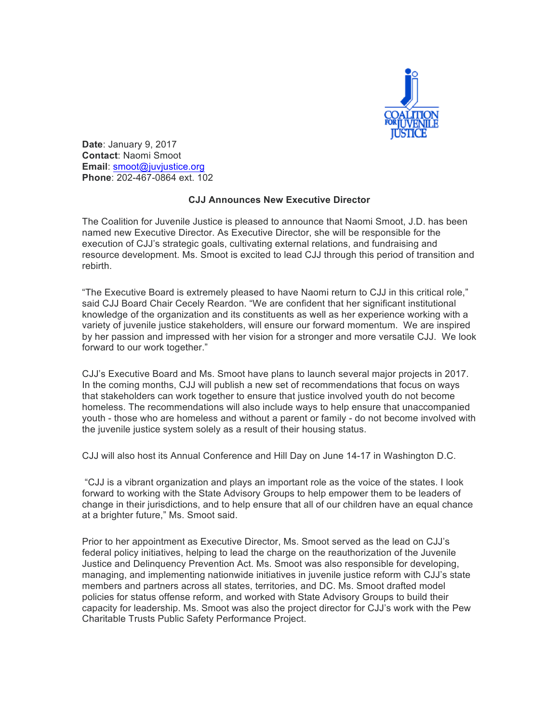

**Date**: January 9, 2017 **Contact**: Naomi Smoot **Email**: smoot@juvjustice.org **Phone**: 202-467-0864 ext. 102

## **CJJ Announces New Executive Director**

The Coalition for Juvenile Justice is pleased to announce that Naomi Smoot, J.D. has been named new Executive Director. As Executive Director, she will be responsible for the execution of CJJ's strategic goals, cultivating external relations, and fundraising and resource development. Ms. Smoot is excited to lead CJJ through this period of transition and rebirth.

"The Executive Board is extremely pleased to have Naomi return to CJJ in this critical role," said CJJ Board Chair Cecely Reardon. "We are confident that her significant institutional knowledge of the organization and its constituents as well as her experience working with a variety of juvenile justice stakeholders, will ensure our forward momentum. We are inspired by her passion and impressed with her vision for a stronger and more versatile CJJ. We look forward to our work together."

CJJ's Executive Board and Ms. Smoot have plans to launch several major projects in 2017. In the coming months, CJJ will publish a new set of recommendations that focus on ways that stakeholders can work together to ensure that justice involved youth do not become homeless. The recommendations will also include ways to help ensure that unaccompanied youth - those who are homeless and without a parent or family - do not become involved with the juvenile justice system solely as a result of their housing status.

CJJ will also host its Annual Conference and Hill Day on June 14-17 in Washington D.C.

"CJJ is a vibrant organization and plays an important role as the voice of the states. I look forward to working with the State Advisory Groups to help empower them to be leaders of change in their jurisdictions, and to help ensure that all of our children have an equal chance at a brighter future," Ms. Smoot said.

Prior to her appointment as Executive Director, Ms. Smoot served as the lead on CJJ's federal policy initiatives, helping to lead the charge on the reauthorization of the Juvenile Justice and Delinquency Prevention Act. Ms. Smoot was also responsible for developing, managing, and implementing nationwide initiatives in juvenile justice reform with CJJ's state members and partners across all states, territories, and DC. Ms. Smoot drafted model policies for status offense reform, and worked with State Advisory Groups to build their capacity for leadership. Ms. Smoot was also the project director for CJJ's work with the Pew Charitable Trusts Public Safety Performance Project.